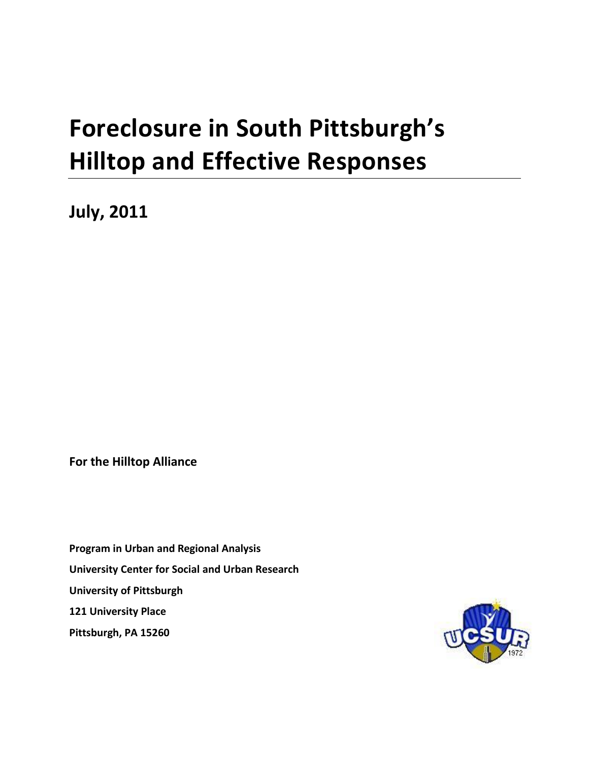# **Foreclosure in South Pittsburgh's Hilltop and Effective Responses**

**July, 2011**

**For the Hilltop Alliance**

**Program in Urban and Regional Analysis University Center for Social and Urban Research University of Pittsburgh 121 University Place Pittsburgh, PA 15260**

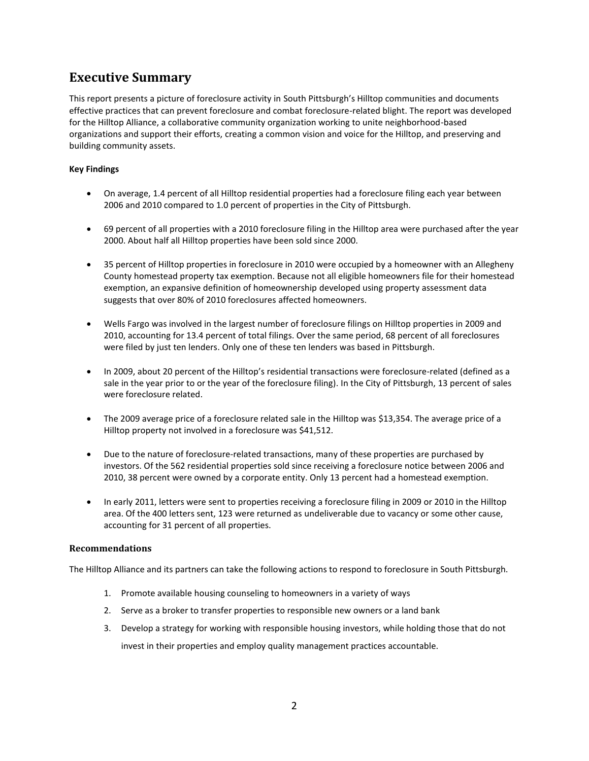# <span id="page-1-0"></span>**Executive Summary**

This report presents a picture of foreclosure activity in South Pittsburgh's Hilltop communities and documents effective practices that can prevent foreclosure and combat foreclosure-related blight. The report was developed for the Hilltop Alliance, a collaborative community organization working to unite neighborhood-based organizations and support their efforts, creating a common vision and voice for the Hilltop, and preserving and building community assets.

#### **Key Findings**

- On average, 1.4 percent of all Hilltop residential properties had a foreclosure filing each year between 2006 and 2010 compared to 1.0 percent of properties in the City of Pittsburgh.
- 69 percent of all properties with a 2010 foreclosure filing in the Hilltop area were purchased after the year 2000. About half all Hilltop properties have been sold since 2000.
- 35 percent of Hilltop properties in foreclosure in 2010 were occupied by a homeowner with an Allegheny County homestead property tax exemption. Because not all eligible homeowners file for their homestead exemption, an expansive definition of homeownership developed using property assessment data suggests that over 80% of 2010 foreclosures affected homeowners.
- Wells Fargo was involved in the largest number of foreclosure filings on Hilltop properties in 2009 and 2010, accounting for 13.4 percent of total filings. Over the same period, 68 percent of all foreclosures were filed by just ten lenders. Only one of these ten lenders was based in Pittsburgh.
- In 2009, about 20 percent of the Hilltop's residential transactions were foreclosure-related (defined as a sale in the year prior to or the year of the foreclosure filing). In the City of Pittsburgh, 13 percent of sales were foreclosure related.
- The 2009 average price of a foreclosure related sale in the Hilltop was \$13,354. The average price of a Hilltop property not involved in a foreclosure was \$41,512.
- Due to the nature of foreclosure-related transactions, many of these properties are purchased by investors. Of the 562 residential properties sold since receiving a foreclosure notice between 2006 and 2010, 38 percent were owned by a corporate entity. Only 13 percent had a homestead exemption.
- In early 2011, letters were sent to properties receiving a foreclosure filing in 2009 or 2010 in the Hilltop area. Of the 400 letters sent, 123 were returned as undeliverable due to vacancy or some other cause, accounting for 31 percent of all properties.

#### **Recommendations**

The Hilltop Alliance and its partners can take the following actions to respond to foreclosure in South Pittsburgh.

- 1. Promote available housing counseling to homeowners in a variety of ways
- 2. Serve as a broker to transfer properties to responsible new owners or a land bank
- 3. Develop a strategy for working with responsible housing investors, while holding those that do not invest in their properties and employ quality management practices accountable.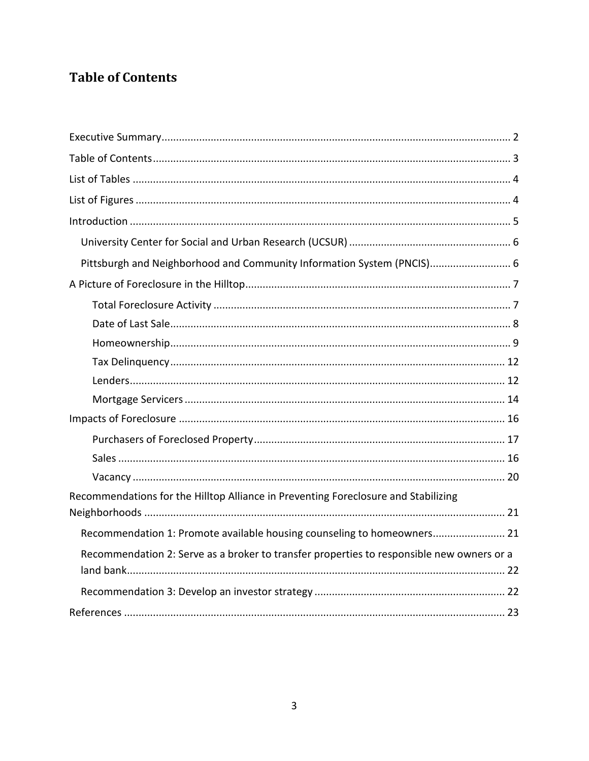# <span id="page-2-0"></span>**Table of Contents**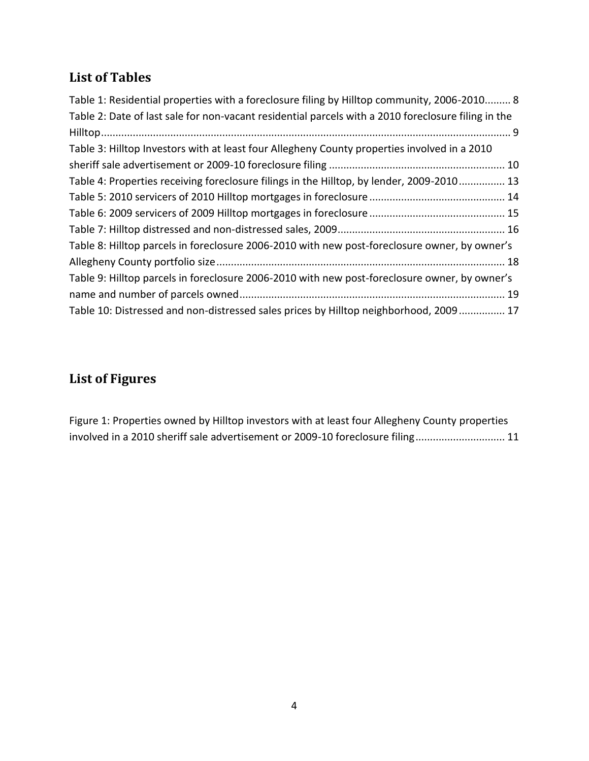# <span id="page-3-0"></span>**List of Tables**

| Table 1: Residential properties with a foreclosure filing by Hilltop community, 2006-2010 8         |
|-----------------------------------------------------------------------------------------------------|
| Table 2: Date of last sale for non-vacant residential parcels with a 2010 foreclosure filing in the |
|                                                                                                     |
| Table 3: Hilltop Investors with at least four Allegheny County properties involved in a 2010        |
|                                                                                                     |
| Table 4: Properties receiving foreclosure filings in the Hilltop, by lender, 2009-2010 13           |
|                                                                                                     |
|                                                                                                     |
|                                                                                                     |
| Table 8: Hilltop parcels in foreclosure 2006-2010 with new post-foreclosure owner, by owner's       |
|                                                                                                     |
| Table 9: Hilltop parcels in foreclosure 2006-2010 with new post-foreclosure owner, by owner's       |
|                                                                                                     |
| Table 10: Distressed and non-distressed sales prices by Hilltop neighborhood, 2009 17               |

# <span id="page-3-1"></span>**List of Figures**

[Figure 1: Properties owned by Hilltop investors with at least four Allegheny County properties](#page-10-0)  [involved in a 2010 sheriff sale advertisement or 2009-10 foreclosure filing...............................](#page-10-0) 11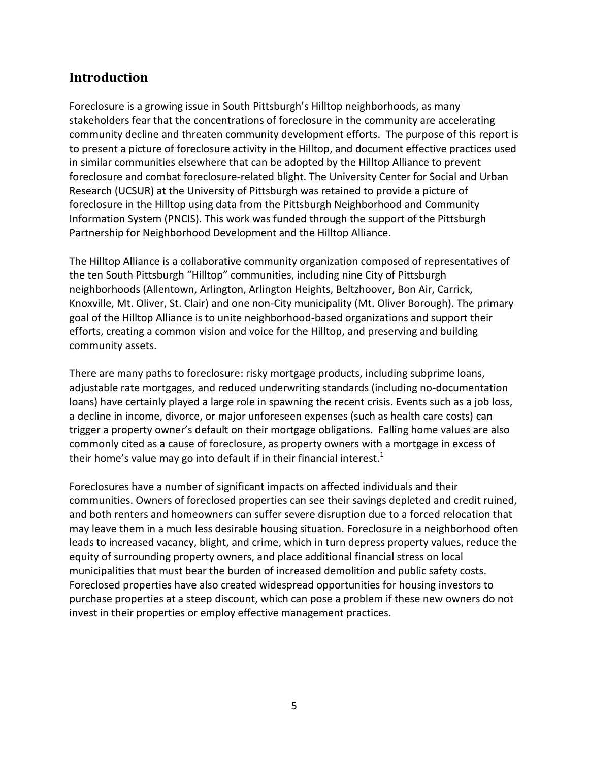# <span id="page-4-0"></span>**Introduction**

Foreclosure is a growing issue in South Pittsburgh's Hilltop neighborhoods, as many stakeholders fear that the concentrations of foreclosure in the community are accelerating community decline and threaten community development efforts. The purpose of this report is to present a picture of foreclosure activity in the Hilltop, and document effective practices used in similar communities elsewhere that can be adopted by the Hilltop Alliance to prevent foreclosure and combat foreclosure-related blight. The University Center for Social and Urban Research (UCSUR) at the University of Pittsburgh was retained to provide a picture of foreclosure in the Hilltop using data from the Pittsburgh Neighborhood and Community Information System (PNCIS). This work was funded through the support of the Pittsburgh Partnership for Neighborhood Development and the Hilltop Alliance.

The Hilltop Alliance is a collaborative community organization composed of representatives of the ten South Pittsburgh "Hilltop" communities, including nine City of Pittsburgh neighborhoods (Allentown, Arlington, Arlington Heights, Beltzhoover, Bon Air, Carrick, Knoxville, Mt. Oliver, St. Clair) and one non-City municipality (Mt. Oliver Borough). The primary goal of the Hilltop Alliance is to unite neighborhood-based organizations and support their efforts, creating a common vision and voice for the Hilltop, and preserving and building community assets.

There are many paths to foreclosure: risky mortgage products, including subprime loans, adjustable rate mortgages, and reduced underwriting standards (including no-documentation loans) have certainly played a large role in spawning the recent crisis. Events such as a job loss, a decline in income, divorce, or major unforeseen expenses (such as health care costs) can trigger a property owner's default on their mortgage obligations. Falling home values are also commonly cited as a cause of foreclosure, as property owners with a mortgage in excess of their home's value may go into default if in their financial interest.<sup>1</sup>

Foreclosures have a number of significant impacts on affected individuals and their communities. Owners of foreclosed properties can see their savings depleted and credit ruined, and both renters and homeowners can suffer severe disruption due to a forced relocation that may leave them in a much less desirable housing situation. Foreclosure in a neighborhood often leads to increased vacancy, blight, and crime, which in turn depress property values, reduce the equity of surrounding property owners, and place additional financial stress on local municipalities that must bear the burden of increased demolition and public safety costs. Foreclosed properties have also created widespread opportunities for housing investors to purchase properties at a steep discount, which can pose a problem if these new owners do not invest in their properties or employ effective management practices.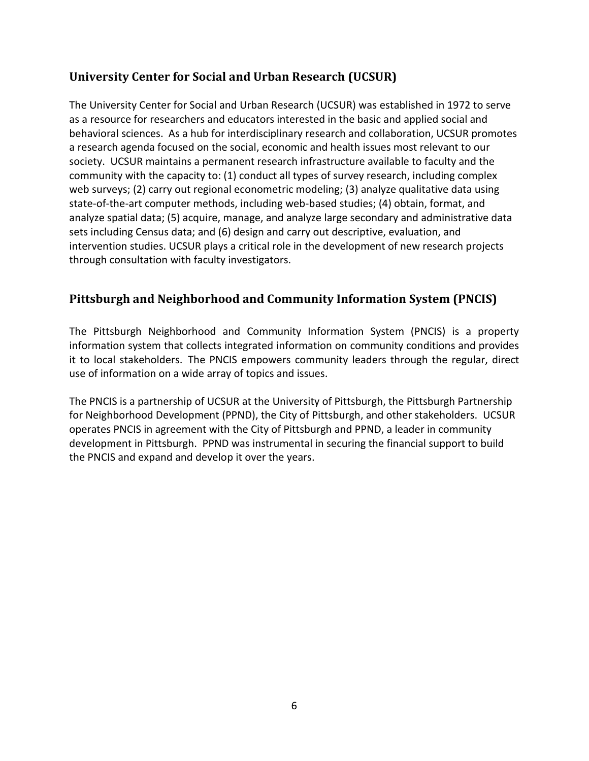## <span id="page-5-0"></span>**University Center for Social and Urban Research (UCSUR)**

The University Center for Social and Urban Research (UCSUR) was established in 1972 to serve as a resource for researchers and educators interested in the basic and applied social and behavioral sciences. As a hub for interdisciplinary research and collaboration, UCSUR promotes a research agenda focused on the social, economic and health issues most relevant to our society. UCSUR maintains a permanent research infrastructure available to faculty and the community with the capacity to: (1) conduct all types of survey research, including complex web surveys; (2) carry out regional econometric modeling; (3) analyze qualitative data using state-of-the-art computer methods, including web-based studies; (4) obtain, format, and analyze spatial data; (5) acquire, manage, and analyze large secondary and administrative data sets including Census data; and (6) design and carry out descriptive, evaluation, and intervention studies. UCSUR plays a critical role in the development of new research projects through consultation with faculty investigators.

## <span id="page-5-1"></span>**Pittsburgh and Neighborhood and Community Information System (PNCIS)**

The Pittsburgh Neighborhood and Community Information System (PNCIS) is a property information system that collects integrated information on community conditions and provides it to local stakeholders. The PNCIS empowers community leaders through the regular, direct use of information on a wide array of topics and issues.

The PNCIS is a partnership of UCSUR at the University of Pittsburgh, the Pittsburgh Partnership for Neighborhood Development (PPND), the City of Pittsburgh, and other stakeholders. UCSUR operates PNCIS in agreement with the City of Pittsburgh and PPND, a leader in community development in Pittsburgh. PPND was instrumental in securing the financial support to build the PNCIS and expand and develop it over the years.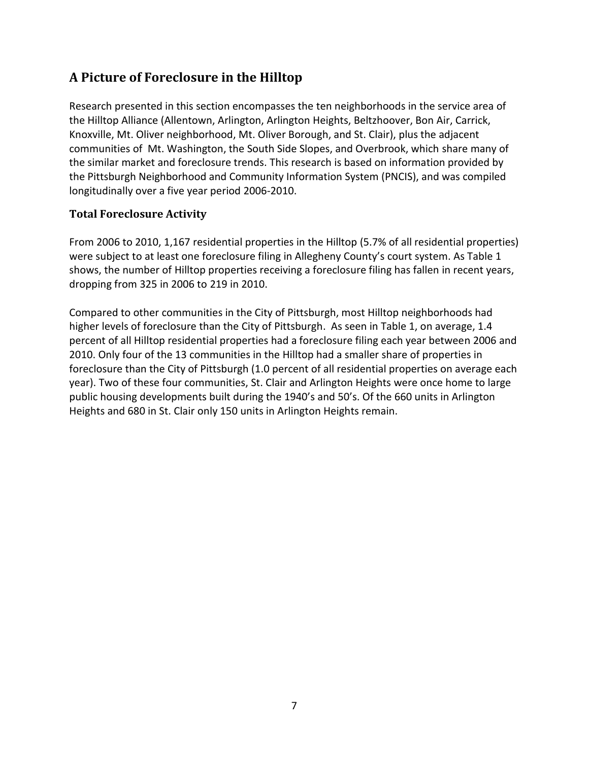# <span id="page-6-0"></span>**A Picture of Foreclosure in the Hilltop**

Research presented in this section encompasses the ten neighborhoods in the service area of the Hilltop Alliance (Allentown, Arlington, Arlington Heights, Beltzhoover, Bon Air, Carrick, Knoxville, Mt. Oliver neighborhood, Mt. Oliver Borough, and St. Clair), plus the adjacent communities of Mt. Washington, the South Side Slopes, and Overbrook, which share many of the similar market and foreclosure trends. This research is based on information provided by the Pittsburgh Neighborhood and Community Information System (PNCIS), and was compiled longitudinally over a five year period 2006-2010.

#### <span id="page-6-1"></span>**Total Foreclosure Activity**

From 2006 to 2010, 1,167 residential properties in the Hilltop (5.7% of all residential properties) were subject to at least one foreclosure filing in Allegheny County's court system. As Table 1 shows, the number of Hilltop properties receiving a foreclosure filing has fallen in recent years, dropping from 325 in 2006 to 219 in 2010.

Compared to other communities in the City of Pittsburgh, most Hilltop neighborhoods had higher levels of foreclosure than the City of Pittsburgh. As seen in Table 1, on average, 1.4 percent of all Hilltop residential properties had a foreclosure filing each year between 2006 and 2010. Only four of the 13 communities in the Hilltop had a smaller share of properties in foreclosure than the City of Pittsburgh (1.0 percent of all residential properties on average each year). Two of these four communities, St. Clair and Arlington Heights were once home to large public housing developments built during the 1940's and 50's. Of the 660 units in Arlington Heights and 680 in St. Clair only 150 units in Arlington Heights remain.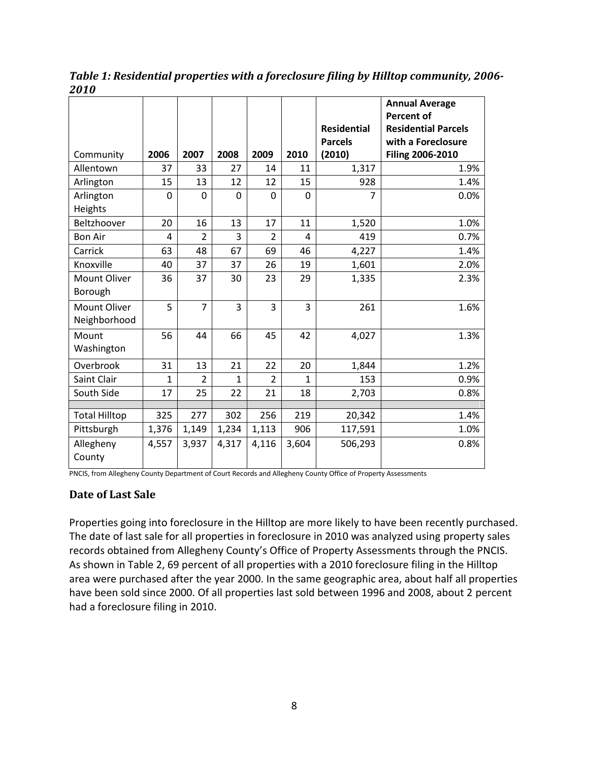|                              |       |                |                |                |              |                                      | <b>Annual Average</b><br><b>Percent of</b>       |
|------------------------------|-------|----------------|----------------|----------------|--------------|--------------------------------------|--------------------------------------------------|
|                              |       |                |                |                |              | <b>Residential</b><br><b>Parcels</b> | <b>Residential Parcels</b><br>with a Foreclosure |
| Community                    | 2006  | 2007           | 2008           | 2009           | 2010         | (2010)                               | <b>Filing 2006-2010</b>                          |
| Allentown                    | 37    | 33             | 27             | 14             | 11           | 1,317                                | 1.9%                                             |
| Arlington                    | 15    | 13             | 12             | 12             | 15           | 928                                  | 1.4%                                             |
| Arlington<br>Heights         | 0     | 0              | $\mathbf 0$    | 0              | $\mathbf 0$  | $\overline{7}$                       | 0.0%                                             |
| Beltzhoover                  | 20    | 16             | 13             | 17             | 11           | 1,520                                | 1.0%                                             |
| <b>Bon Air</b>               | 4     | $\overline{2}$ | 3              | $\overline{2}$ | 4            | 419                                  | 0.7%                                             |
| Carrick                      | 63    | 48             | 67             | 69             | 46           | 4,227                                | 1.4%                                             |
| Knoxville                    | 40    | 37             | 37             | 26             | 19           | 1,601                                | 2.0%                                             |
| Mount Oliver<br>Borough      | 36    | 37             | 30             | 23             | 29           | 1,335                                | 2.3%                                             |
| Mount Oliver<br>Neighborhood | 5     | $\overline{7}$ | $\overline{3}$ | $\overline{3}$ | 3            | 261                                  | 1.6%                                             |
| Mount<br>Washington          | 56    | 44             | 66             | 45             | 42           | 4,027                                | 1.3%                                             |
| Overbrook                    | 31    | 13             | 21             | 22             | 20           | 1,844                                | 1.2%                                             |
| Saint Clair                  | 1     | $\overline{2}$ | 1              | $\overline{2}$ | $\mathbf{1}$ | 153                                  | 0.9%                                             |
| South Side                   | 17    | 25             | 22             | 21             | 18           | 2,703                                | 0.8%                                             |
| <b>Total Hilltop</b>         | 325   | 277            | 302            | 256            | 219          | 20,342                               | 1.4%                                             |
| Pittsburgh                   | 1,376 | 1,149          | 1,234          | 1,113          | 906          | 117,591                              | 1.0%                                             |
| Allegheny<br>County          | 4,557 | 3,937          | 4,317          | 4,116          | 3,604        | 506,293                              | 0.8%                                             |

<span id="page-7-1"></span>*Table 1: Residential properties with a foreclosure filing by Hilltop community, 2006- 2010*

PNCIS, from Allegheny County Department of Court Records and Allegheny County Office of Property Assessments

#### <span id="page-7-0"></span>**Date of Last Sale**

Properties going into foreclosure in the Hilltop are more likely to have been recently purchased. The date of last sale for all properties in foreclosure in 2010 was analyzed using property sales records obtained from Allegheny County's Office of Property Assessments through the PNCIS. As shown in Table 2, 69 percent of all properties with a 2010 foreclosure filing in the Hilltop area were purchased after the year 2000. In the same geographic area, about half all properties have been sold since 2000. Of all properties last sold between 1996 and 2008, about 2 percent had a foreclosure filing in 2010.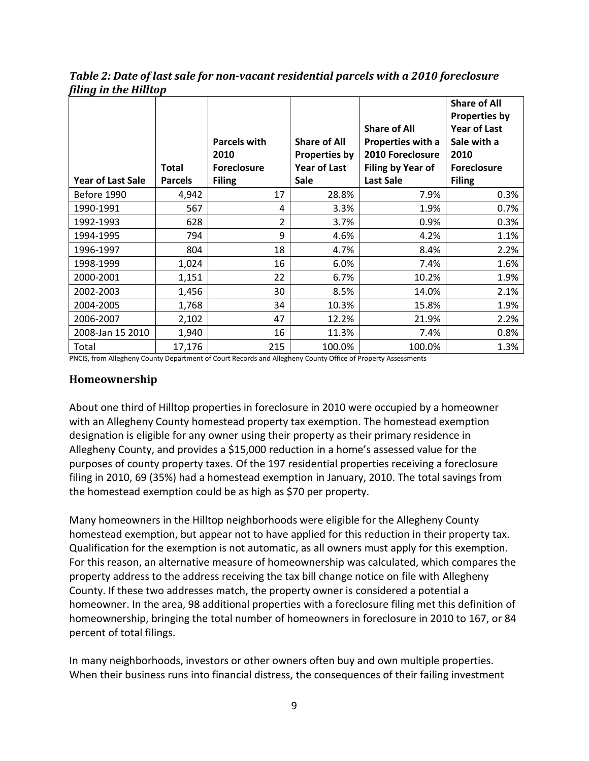<span id="page-8-1"></span>*Table 2: Date of last sale for non-vacant residential parcels with a 2010 foreclosure filing in the Hilltop* 

|                          |                | <b>Parcels with</b> | <b>Share of All</b>  | <b>Share of All</b><br>Properties with a | <b>Share of All</b><br><b>Properties by</b><br><b>Year of Last</b><br>Sale with a |
|--------------------------|----------------|---------------------|----------------------|------------------------------------------|-----------------------------------------------------------------------------------|
|                          |                | 2010                | <b>Properties by</b> | 2010 Foreclosure                         | 2010                                                                              |
|                          | <b>Total</b>   | <b>Foreclosure</b>  | <b>Year of Last</b>  | Filing by Year of                        | <b>Foreclosure</b>                                                                |
| <b>Year of Last Sale</b> | <b>Parcels</b> | <b>Filing</b>       | <b>Sale</b>          | <b>Last Sale</b>                         | <b>Filing</b>                                                                     |
| Before 1990              | 4,942          | 17                  | 28.8%                | 7.9%                                     | 0.3%                                                                              |
| 1990-1991                | 567            | 4                   | 3.3%                 | 1.9%                                     | 0.7%                                                                              |
| 1992-1993                | 628            | $\overline{2}$      | 3.7%                 | 0.9%                                     | 0.3%                                                                              |
| 1994-1995                | 794            | 9                   | 4.6%                 | 4.2%                                     | 1.1%                                                                              |
| 1996-1997                | 804            | 18                  | 4.7%                 | 8.4%                                     | 2.2%                                                                              |
| 1998-1999                | 1,024          | 16                  | 6.0%                 | 7.4%                                     | 1.6%                                                                              |
| 2000-2001                | 1,151          | 22                  | 6.7%                 | 10.2%                                    | 1.9%                                                                              |
| 2002-2003                | 1,456          | 30                  | 8.5%                 | 14.0%                                    | 2.1%                                                                              |
| 2004-2005                | 1,768          | 34                  | 10.3%                | 15.8%                                    | 1.9%                                                                              |
| 2006-2007                | 2,102          | 47                  | 12.2%                | 21.9%                                    | 2.2%                                                                              |
| 2008-Jan 15 2010         | 1,940          | 16                  | 11.3%                | 7.4%                                     | 0.8%                                                                              |
| Total                    | 17,176         | 215                 | 100.0%               | 100.0%                                   | 1.3%                                                                              |

<span id="page-8-0"></span>PNCIS, from Allegheny County Department of Court Records and Allegheny County Office of Property Assessments

#### **Homeownership**

About one third of Hilltop properties in foreclosure in 2010 were occupied by a homeowner with an Allegheny County homestead property tax exemption. The homestead exemption designation is eligible for any owner using their property as their primary residence in Allegheny County, and provides a \$15,000 reduction in a home's assessed value for the purposes of county property taxes. Of the 197 residential properties receiving a foreclosure filing in 2010, 69 (35%) had a homestead exemption in January, 2010. The total savings from the homestead exemption could be as high as \$70 per property.

Many homeowners in the Hilltop neighborhoods were eligible for the Allegheny County homestead exemption, but appear not to have applied for this reduction in their property tax. Qualification for the exemption is not automatic, as all owners must apply for this exemption. For this reason, an alternative measure of homeownership was calculated, which compares the property address to the address receiving the tax bill change notice on file with Allegheny County. If these two addresses match, the property owner is considered a potential a homeowner. In the area, 98 additional properties with a foreclosure filing met this definition of homeownership, bringing the total number of homeowners in foreclosure in 2010 to 167, or 84 percent of total filings.

In many neighborhoods, investors or other owners often buy and own multiple properties. When their business runs into financial distress, the consequences of their failing investment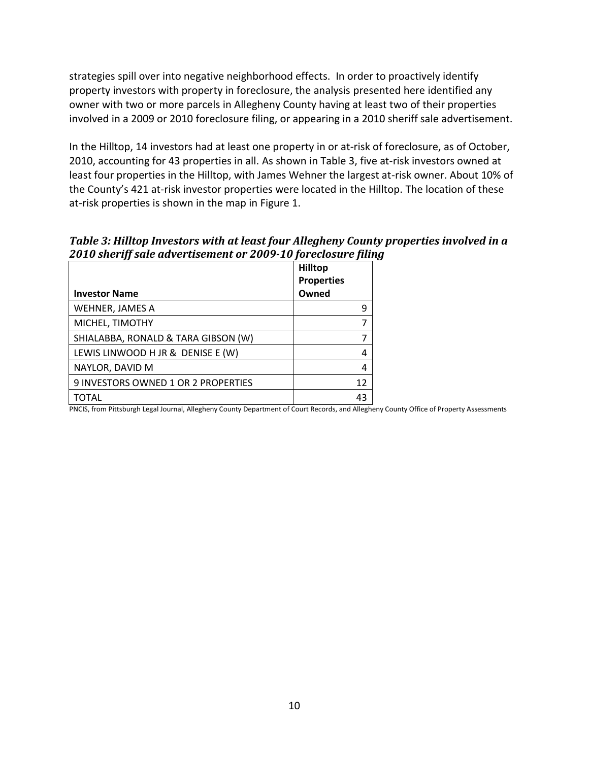strategies spill over into negative neighborhood effects. In order to proactively identify property investors with property in foreclosure, the analysis presented here identified any owner with two or more parcels in Allegheny County having at least two of their properties involved in a 2009 or 2010 foreclosure filing, or appearing in a 2010 sheriff sale advertisement.

In the Hilltop, 14 investors had at least one property in or at-risk of foreclosure, as of October, 2010, accounting for 43 properties in all. As shown in Table 3, five at-risk investors owned at least four properties in the Hilltop, with James Wehner the largest at-risk owner. About 10% of the County's 421 at-risk investor properties were located in the Hilltop. The location of these at-risk properties is shown in the map in Figure 1.

<span id="page-9-0"></span>*Table 3: Hilltop Investors with at least four Allegheny County properties involved in a 2010 sheriff sale advertisement or 2009-10 foreclosure filing*

|                                     | <b>Hilltop</b><br><b>Properties</b> |
|-------------------------------------|-------------------------------------|
| <b>Investor Name</b>                | Owned                               |
| WEHNER, JAMES A                     | 9                                   |
| MICHEL, TIMOTHY                     |                                     |
| SHIALABBA, RONALD & TARA GIBSON (W) |                                     |
| LEWIS LINWOOD H JR & DENISE E (W)   | 4                                   |
| NAYLOR, DAVID M                     | 4                                   |
| 9 INVESTORS OWNED 1 OR 2 PROPERTIES | 12                                  |
| TOTAL                               | 43                                  |

PNCIS, from Pittsburgh Legal Journal, Allegheny County Department of Court Records, and Allegheny County Office of Property Assessments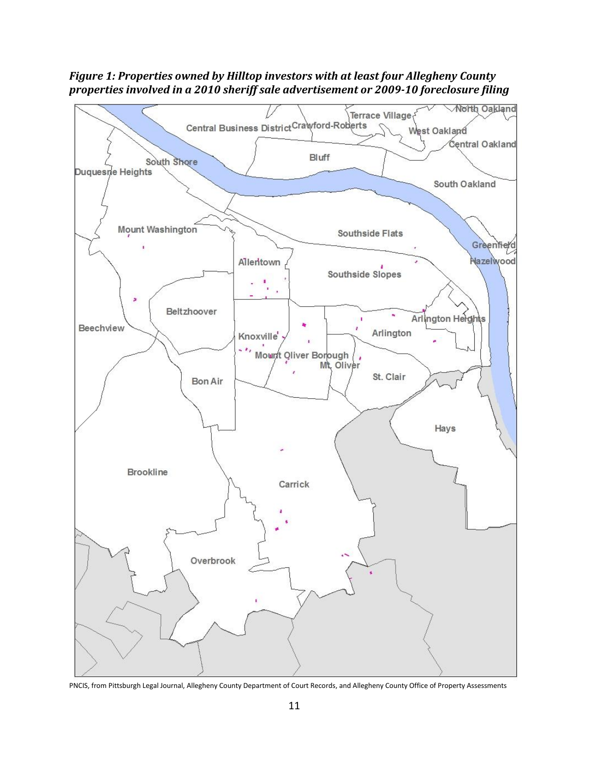<span id="page-10-0"></span>*Figure 1: Properties owned by Hilltop investors with at least four Allegheny County properties involved in a 2010 sheriff sale advertisement or 2009-10 foreclosure filing* 



PNCIS, from Pittsburgh Legal Journal, Allegheny County Department of Court Records, and Allegheny County Office of Property Assessments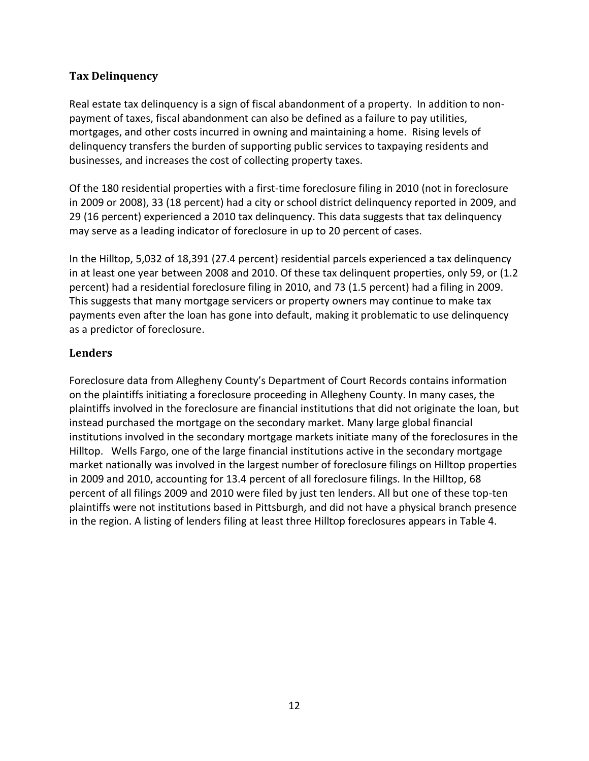#### <span id="page-11-0"></span>**Tax Delinquency**

Real estate tax delinquency is a sign of fiscal abandonment of a property. In addition to nonpayment of taxes, fiscal abandonment can also be defined as a failure to pay utilities, mortgages, and other costs incurred in owning and maintaining a home. Rising levels of delinquency transfers the burden of supporting public services to taxpaying residents and businesses, and increases the cost of collecting property taxes.

Of the 180 residential properties with a first-time foreclosure filing in 2010 (not in foreclosure in 2009 or 2008), 33 (18 percent) had a city or school district delinquency reported in 2009, and 29 (16 percent) experienced a 2010 tax delinquency. This data suggests that tax delinquency may serve as a leading indicator of foreclosure in up to 20 percent of cases.

In the Hilltop, 5,032 of 18,391 (27.4 percent) residential parcels experienced a tax delinquency in at least one year between 2008 and 2010. Of these tax delinquent properties, only 59, or (1.2 percent) had a residential foreclosure filing in 2010, and 73 (1.5 percent) had a filing in 2009. This suggests that many mortgage servicers or property owners may continue to make tax payments even after the loan has gone into default, making it problematic to use delinquency as a predictor of foreclosure.

#### <span id="page-11-1"></span>**Lenders**

Foreclosure data from Allegheny County's Department of Court Records contains information on the plaintiffs initiating a foreclosure proceeding in Allegheny County. In many cases, the plaintiffs involved in the foreclosure are financial institutions that did not originate the loan, but instead purchased the mortgage on the secondary market. Many large global financial institutions involved in the secondary mortgage markets initiate many of the foreclosures in the Hilltop. Wells Fargo, one of the large financial institutions active in the secondary mortgage market nationally was involved in the largest number of foreclosure filings on Hilltop properties in 2009 and 2010, accounting for 13.4 percent of all foreclosure filings. In the Hilltop, 68 percent of all filings 2009 and 2010 were filed by just ten lenders. All but one of these top-ten plaintiffs were not institutions based in Pittsburgh, and did not have a physical branch presence in the region. A listing of lenders filing at least three Hilltop foreclosures appears in Table 4.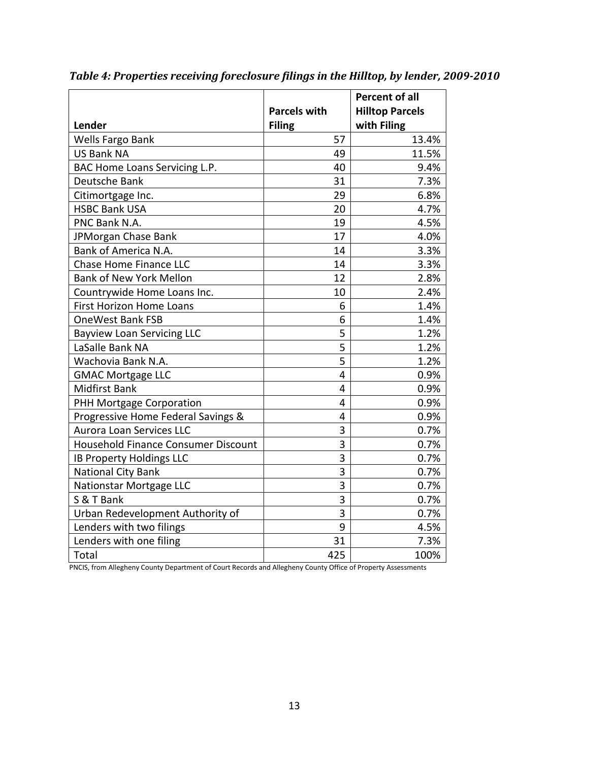| Lender                              | <b>Parcels with</b><br><b>Filing</b> | <b>Percent of all</b><br><b>Hilltop Parcels</b><br>with Filing |
|-------------------------------------|--------------------------------------|----------------------------------------------------------------|
| Wells Fargo Bank                    | 57                                   | 13.4%                                                          |
| <b>US Bank NA</b>                   | 49                                   | 11.5%                                                          |
| BAC Home Loans Servicing L.P.       | 40                                   | 9.4%                                                           |
| Deutsche Bank                       | 31                                   | 7.3%                                                           |
| Citimortgage Inc.                   | 29                                   | 6.8%                                                           |
| <b>HSBC Bank USA</b>                | 20                                   | 4.7%                                                           |
| PNC Bank N.A.                       | 19                                   | 4.5%                                                           |
| JPMorgan Chase Bank                 | 17                                   | 4.0%                                                           |
| Bank of America N.A.                | 14                                   | 3.3%                                                           |
| Chase Home Finance LLC              | 14                                   | 3.3%                                                           |
| <b>Bank of New York Mellon</b>      | 12                                   | 2.8%                                                           |
| Countrywide Home Loans Inc.         | 10                                   | 2.4%                                                           |
| <b>First Horizon Home Loans</b>     | 6                                    | 1.4%                                                           |
| <b>OneWest Bank FSB</b>             | 6                                    | 1.4%                                                           |
| <b>Bayview Loan Servicing LLC</b>   | 5                                    | 1.2%                                                           |
| LaSalle Bank NA                     | 5                                    | 1.2%                                                           |
| Wachovia Bank N.A.                  | $\overline{5}$                       | 1.2%                                                           |
| <b>GMAC Mortgage LLC</b>            | 4                                    | 0.9%                                                           |
| <b>Midfirst Bank</b>                | 4                                    | 0.9%                                                           |
| PHH Mortgage Corporation            | 4                                    | 0.9%                                                           |
| Progressive Home Federal Savings &  | 4                                    | 0.9%                                                           |
| Aurora Loan Services LLC            | 3                                    | 0.7%                                                           |
| Household Finance Consumer Discount | 3                                    | 0.7%                                                           |
| IB Property Holdings LLC            | $\overline{3}$                       | 0.7%                                                           |
| National City Bank                  | 3                                    | 0.7%                                                           |
| Nationstar Mortgage LLC             | 3                                    | 0.7%                                                           |
| S & T Bank                          | $\overline{3}$                       | 0.7%                                                           |
| Urban Redevelopment Authority of    | 3                                    | 0.7%                                                           |
| Lenders with two filings            | 9                                    | 4.5%                                                           |
| Lenders with one filing             | 31                                   | 7.3%                                                           |
| Total                               | 425                                  | 100%                                                           |

<span id="page-12-0"></span>*Table 4: Properties receiving foreclosure filings in the Hilltop, by lender, 2009-2010*

PNCIS, from Allegheny County Department of Court Records and Allegheny County Office of Property Assessments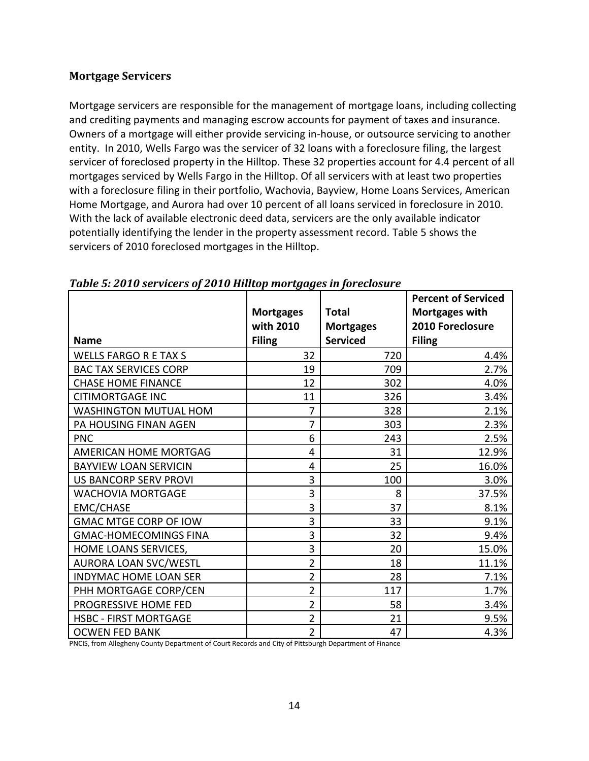#### <span id="page-13-0"></span>**Mortgage Servicers**

Mortgage servicers are responsible for the management of mortgage loans, including collecting and crediting payments and managing escrow accounts for payment of taxes and insurance. Owners of a mortgage will either provide servicing in-house, or outsource servicing to another entity. In 2010, Wells Fargo was the servicer of 32 loans with a foreclosure filing, the largest servicer of foreclosed property in the Hilltop. These 32 properties account for 4.4 percent of all mortgages serviced by Wells Fargo in the Hilltop. Of all servicers with at least two properties with a foreclosure filing in their portfolio, Wachovia, Bayview, Home Loans Services, American Home Mortgage, and Aurora had over 10 percent of all loans serviced in foreclosure in 2010. With the lack of available electronic deed data, servicers are the only available indicator potentially identifying the lender in the property assessment record. Table 5 shows the servicers of 2010 foreclosed mortgages in the Hilltop.

|                              | <b>Mortgages</b> | <b>Total</b>     | <b>Percent of Serviced</b><br>Mortgages with |
|------------------------------|------------------|------------------|----------------------------------------------|
|                              | with 2010        | <b>Mortgages</b> | 2010 Foreclosure                             |
| <b>Name</b>                  | <b>Filing</b>    | <b>Serviced</b>  | <b>Filing</b>                                |
| <b>WELLS FARGO R E TAX S</b> | 32               | 720              | 4.4%                                         |
| <b>BAC TAX SERVICES CORP</b> | 19               | 709              | 2.7%                                         |
| <b>CHASE HOME FINANCE</b>    | 12               | 302              | 4.0%                                         |
| <b>CITIMORTGAGE INC</b>      | 11               | 326              | 3.4%                                         |
| WASHINGTON MUTUAL HOM        | 7                | 328              | 2.1%                                         |
| PA HOUSING FINAN AGEN        | 7                | 303              | 2.3%                                         |
| <b>PNC</b>                   | 6                | 243              | 2.5%                                         |
| AMERICAN HOME MORTGAG        | 4                | 31               | 12.9%                                        |
| <b>BAYVIEW LOAN SERVICIN</b> | 4                | 25               | 16.0%                                        |
| <b>US BANCORP SERV PROVI</b> | 3                | 100              | 3.0%                                         |
| <b>WACHOVIA MORTGAGE</b>     | 3                | 8                | 37.5%                                        |
| <b>EMC/CHASE</b>             | 3                | 37               | 8.1%                                         |
| <b>GMAC MTGE CORP OF IOW</b> | 3                | 33               | 9.1%                                         |
| <b>GMAC-HOMECOMINGS FINA</b> | 3                | 32               | 9.4%                                         |
| HOME LOANS SERVICES,         | 3                | 20               | 15.0%                                        |
| <b>AURORA LOAN SVC/WESTL</b> | $\overline{2}$   | 18               | 11.1%                                        |
| INDYMAC HOME LOAN SER        | $\overline{2}$   | 28               | 7.1%                                         |
| PHH MORTGAGE CORP/CEN        | $\overline{2}$   | 117              | 1.7%                                         |
| PROGRESSIVE HOME FED         | $\overline{2}$   | 58               | 3.4%                                         |
| <b>HSBC - FIRST MORTGAGE</b> | $\overline{2}$   | 21               | 9.5%                                         |
| <b>OCWEN FED BANK</b>        | $\overline{2}$   | 47               | 4.3%                                         |

#### <span id="page-13-1"></span>*Table 5: 2010 servicers of 2010 Hilltop mortgages in foreclosure*

PNCIS, from Allegheny County Department of Court Records and City of Pittsburgh Department of Finance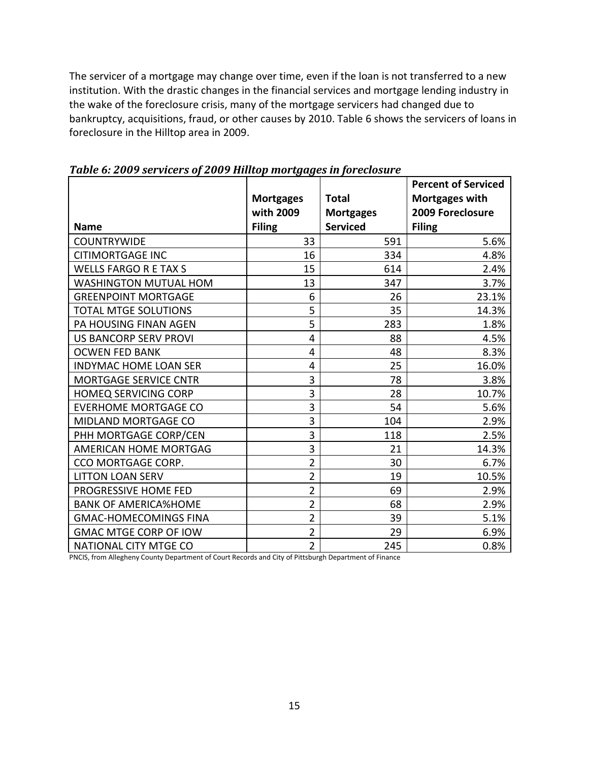The servicer of a mortgage may change over time, even if the loan is not transferred to a new institution. With the drastic changes in the financial services and mortgage lending industry in the wake of the foreclosure crisis, many of the mortgage servicers had changed due to bankruptcy, acquisitions, fraud, or other causes by 2010. Table 6 shows the servicers of loans in foreclosure in the Hilltop area in 2009.

|                              |                  |                  | <b>Percent of Serviced</b> |
|------------------------------|------------------|------------------|----------------------------|
|                              | <b>Mortgages</b> | <b>Total</b>     | Mortgages with             |
|                              | with 2009        | <b>Mortgages</b> | 2009 Foreclosure           |
| <b>Name</b>                  | <b>Filing</b>    | <b>Serviced</b>  | <b>Filing</b>              |
| <b>COUNTRYWIDE</b>           | 33               | 591              | 5.6%                       |
| <b>CITIMORTGAGE INC</b>      | 16               | 334              | 4.8%                       |
| <b>WELLS FARGO R E TAX S</b> | 15               | 614              | 2.4%                       |
| WASHINGTON MUTUAL HOM        | 13               | 347              | 3.7%                       |
| <b>GREENPOINT MORTGAGE</b>   | 6                | 26               | 23.1%                      |
| <b>TOTAL MTGE SOLUTIONS</b>  | 5                | 35               | 14.3%                      |
| PA HOUSING FINAN AGEN        | 5                | 283              | 1.8%                       |
| <b>US BANCORP SERV PROVI</b> | $\overline{4}$   | 88               | 4.5%                       |
| <b>OCWEN FED BANK</b>        | 4                | 48               | 8.3%                       |
| <b>INDYMAC HOME LOAN SER</b> | 4                | 25               | 16.0%                      |
| <b>MORTGAGE SERVICE CNTR</b> | 3                | 78               | 3.8%                       |
| <b>HOMEQ SERVICING CORP</b>  | 3                | 28               | 10.7%                      |
| <b>EVERHOME MORTGAGE CO</b>  | 3                | 54               | 5.6%                       |
| MIDLAND MORTGAGE CO          | 3                | 104              | 2.9%                       |
| PHH MORTGAGE CORP/CEN        | 3                | 118              | 2.5%                       |
| AMERICAN HOME MORTGAG        | 3                | 21               | 14.3%                      |
| CCO MORTGAGE CORP.           | $\overline{2}$   | 30               | 6.7%                       |
| <b>LITTON LOAN SERV</b>      | $\overline{2}$   | 19               | 10.5%                      |
| PROGRESSIVE HOME FED         | $\overline{2}$   | 69               | 2.9%                       |
| <b>BANK OF AMERICA%HOME</b>  | $\overline{2}$   | 68               | 2.9%                       |
| <b>GMAC-HOMECOMINGS FINA</b> | $\overline{2}$   | 39               | 5.1%                       |
| <b>GMAC MTGE CORP OF IOW</b> | $\overline{2}$   | 29               | 6.9%                       |
| NATIONAL CITY MTGE CO        | $\overline{2}$   | 245              | 0.8%                       |

<span id="page-14-0"></span>*Table 6: 2009 servicers of 2009 Hilltop mortgages in foreclosure* 

PNCIS, from Allegheny County Department of Court Records and City of Pittsburgh Department of Finance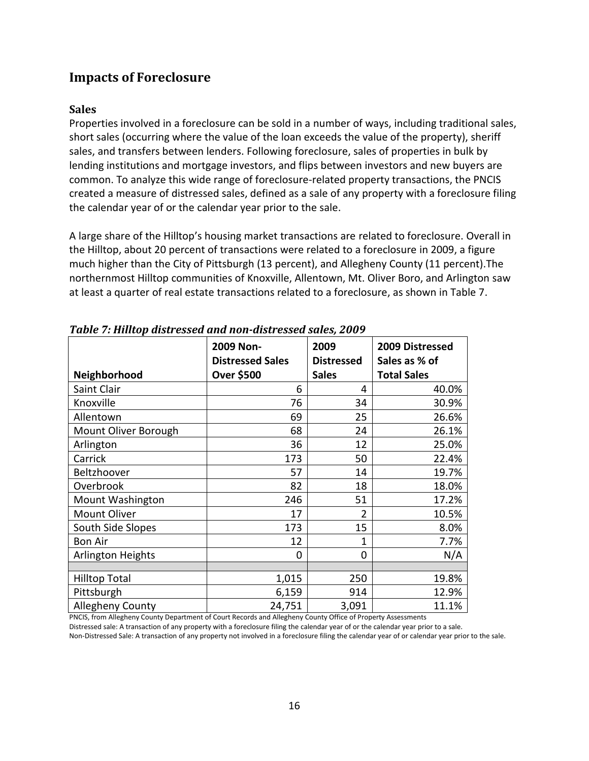# <span id="page-15-0"></span>**Impacts of Foreclosure**

#### <span id="page-15-1"></span>**Sales**

Properties involved in a foreclosure can be sold in a number of ways, including traditional sales, short sales (occurring where the value of the loan exceeds the value of the property), sheriff sales, and transfers between lenders. Following foreclosure, sales of properties in bulk by lending institutions and mortgage investors, and flips between investors and new buyers are common. To analyze this wide range of foreclosure-related property transactions, the PNCIS created a measure of distressed sales, defined as a sale of any property with a foreclosure filing the calendar year of or the calendar year prior to the sale.

A large share of the Hilltop's housing market transactions are related to foreclosure. Overall in the Hilltop, about 20 percent of transactions were related to a foreclosure in 2009, a figure much higher than the City of Pittsburgh (13 percent), and Allegheny County (11 percent).The northernmost Hilltop communities of Knoxville, Allentown, Mt. Oliver Boro, and Arlington saw at least a quarter of real estate transactions related to a foreclosure, as shown in Table 7.

| Neighborhood             | 2009 Non-<br><b>Distressed Sales</b><br>Over \$500 | 2009<br><b>Distressed</b><br><b>Sales</b> | 2009 Distressed<br>Sales as % of<br><b>Total Sales</b> |
|--------------------------|----------------------------------------------------|-------------------------------------------|--------------------------------------------------------|
| Saint Clair              | 6                                                  | 4                                         | 40.0%                                                  |
| Knoxville                | 76                                                 | 34                                        | 30.9%                                                  |
| Allentown                | 69                                                 | 25                                        | 26.6%                                                  |
| Mount Oliver Borough     | 68                                                 | 24                                        | 26.1%                                                  |
| Arlington                | 36                                                 | 12                                        | 25.0%                                                  |
| Carrick                  | 173                                                | 50                                        | 22.4%                                                  |
| Beltzhoover              | 57                                                 | 14                                        | 19.7%                                                  |
| Overbrook                | 82                                                 | 18                                        | 18.0%                                                  |
| <b>Mount Washington</b>  | 246                                                | 51                                        | 17.2%                                                  |
| Mount Oliver             | 17                                                 | 2                                         | 10.5%                                                  |
| South Side Slopes        | 173                                                | 15                                        | 8.0%                                                   |
| <b>Bon Air</b>           | 12                                                 | 1                                         | 7.7%                                                   |
| <b>Arlington Heights</b> | 0                                                  | 0                                         | N/A                                                    |
|                          |                                                    |                                           |                                                        |
| <b>Hilltop Total</b>     | 1,015                                              | 250                                       | 19.8%                                                  |
| Pittsburgh               | 6,159                                              | 914                                       | 12.9%                                                  |
| Allegheny County         | 24,751                                             | 3,091                                     | 11.1%                                                  |

<span id="page-15-2"></span>*Table 7: Hilltop distressed and non-distressed sales, 2009*

PNCIS, from Allegheny County Department of Court Records and Allegheny County Office of Property Assessments Distressed sale: A transaction of any property with a foreclosure filing the calendar year of or the calendar year prior to a sale.

Non-Distressed Sale: A transaction of any property not involved in a foreclosure filing the calendar year of or calendar year prior to the sale.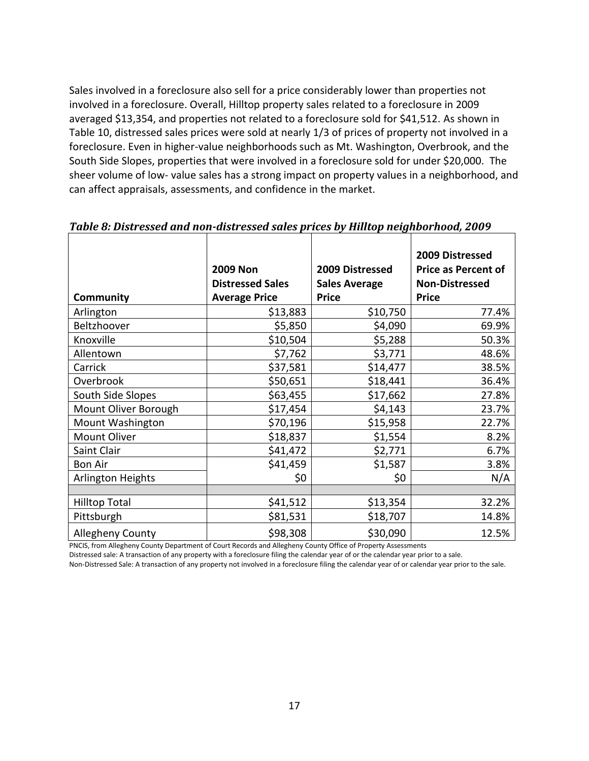<span id="page-16-0"></span>Sales involved in a foreclosure also sell for a price considerably lower than properties not involved in a foreclosure. Overall, Hilltop property sales related to a foreclosure in 2009 averaged \$13,354, and properties not related to a foreclosure sold for \$41,512. As shown in Table 10, distressed sales prices were sold at nearly 1/3 of prices of property not involved in a foreclosure. Even in higher-value neighborhoods such as Mt. Washington, Overbrook, and the South Side Slopes, properties that were involved in a foreclosure sold for under \$20,000. The sheer volume of low- value sales has a strong impact on property values in a neighborhood, and can affect appraisals, assessments, and confidence in the market.

|                      | <b>2009 Non</b><br><b>Distressed Sales</b> | 2009 Distressed<br><b>Sales Average</b> | 2009 Distressed<br><b>Price as Percent of</b><br><b>Non-Distressed</b> |
|----------------------|--------------------------------------------|-----------------------------------------|------------------------------------------------------------------------|
| <b>Community</b>     | <b>Average Price</b>                       | <b>Price</b>                            | <b>Price</b>                                                           |
| Arlington            | \$13,883                                   | \$10,750                                | 77.4%                                                                  |
| Beltzhoover          | \$5,850                                    | \$4,090                                 | 69.9%                                                                  |
| Knoxville            | \$10,504                                   | \$5,288                                 | 50.3%                                                                  |
| Allentown            | \$7,762                                    | \$3,771                                 | 48.6%                                                                  |
| Carrick              | \$37,581                                   | \$14,477                                | 38.5%                                                                  |
| Overbrook            | \$50,651                                   | \$18,441                                | 36.4%                                                                  |
| South Side Slopes    | \$63,455                                   | \$17,662                                | 27.8%                                                                  |
| Mount Oliver Borough | \$17,454                                   | \$4,143                                 | 23.7%                                                                  |
| Mount Washington     | \$70,196                                   | \$15,958                                | 22.7%                                                                  |
| Mount Oliver         | \$18,837                                   | \$1,554                                 | 8.2%                                                                   |
| Saint Clair          | \$41,472                                   | \$2,771                                 | 6.7%                                                                   |
| <b>Bon Air</b>       | \$41,459                                   | \$1,587                                 | 3.8%                                                                   |
| Arlington Heights    | \$0                                        | \$0                                     | N/A                                                                    |
|                      |                                            |                                         |                                                                        |
| <b>Hilltop Total</b> | \$41,512                                   | \$13,354                                | 32.2%                                                                  |
| Pittsburgh           | \$81,531                                   | \$18,707                                | 14.8%                                                                  |
| Allegheny County     | \$98,308<br>$\sim$                         | \$30,090<br>$\sim$ $\sim$ $\sim$ $\sim$ | 12.5%                                                                  |

# <span id="page-16-1"></span>*Table 8: Distressed and non-distressed sales prices by Hilltop neighborhood, 2009*

PNCIS, from Allegheny County Department of Court Records and Allegheny County Office of Property Assessments

Distressed sale: A transaction of any property with a foreclosure filing the calendar year of or the calendar year prior to a sale.

Non-Distressed Sale: A transaction of any property not involved in a foreclosure filing the calendar year of or calendar year prior to the sale.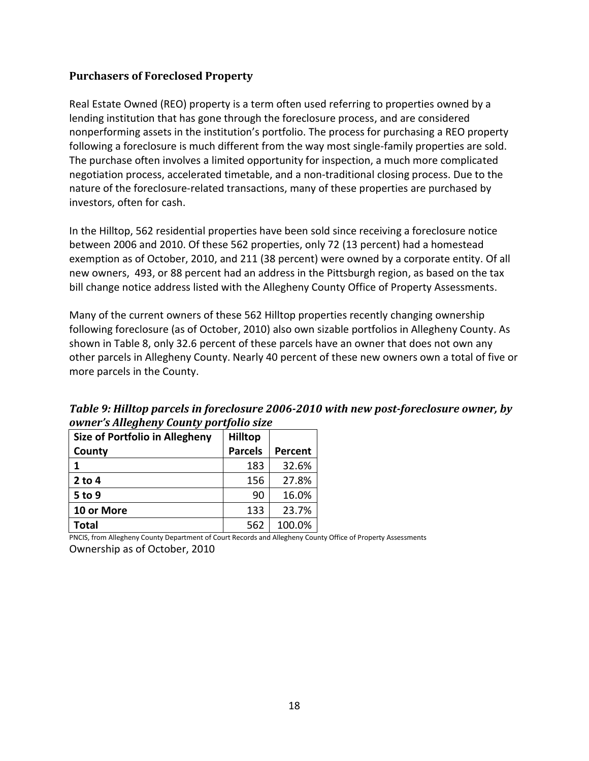#### **Purchasers of Foreclosed Property**

Real Estate Owned (REO) property is a term often used referring to properties owned by a lending institution that has gone through the foreclosure process, and are considered nonperforming assets in the institution's portfolio. The process for purchasing a REO property following a foreclosure is much different from the way most single-family properties are sold. The purchase often involves a limited opportunity for inspection, a much more complicated negotiation process, accelerated timetable, and a non-traditional closing process. Due to the nature of the foreclosure-related transactions, many of these properties are purchased by investors, often for cash.

In the Hilltop, 562 residential properties have been sold since receiving a foreclosure notice between 2006 and 2010. Of these 562 properties, only 72 (13 percent) had a homestead exemption as of October, 2010, and 211 (38 percent) were owned by a corporate entity. Of all new owners, 493, or 88 percent had an address in the Pittsburgh region, as based on the tax bill change notice address listed with the Allegheny County Office of Property Assessments.

Many of the current owners of these 562 Hilltop properties recently changing ownership following foreclosure (as of October, 2010) also own sizable portfolios in Allegheny County. As shown in Table 8, only 32.6 percent of these parcels have an owner that does not own any other parcels in Allegheny County. Nearly 40 percent of these new owners own a total of five or more parcels in the County.

| Size of Portfolio in Allegheny | <b>Hilltop</b> |         |
|--------------------------------|----------------|---------|
| County                         | <b>Parcels</b> | Percent |
| 1                              | 183            | 32.6%   |
| $2$ to 4                       | 156            | 27.8%   |
| 5 to 9                         | 90             | 16.0%   |
| 10 or More                     | 133            | 23.7%   |
| <b>Total</b>                   | 562            | 100.0%  |

<span id="page-17-0"></span>*Table 9: Hilltop parcels in foreclosure 2006-2010 with new post-foreclosure owner, by owner's Allegheny County portfolio size*

PNCIS, from Allegheny County Department of Court Records and Allegheny County Office of Property Assessments Ownership as of October, 2010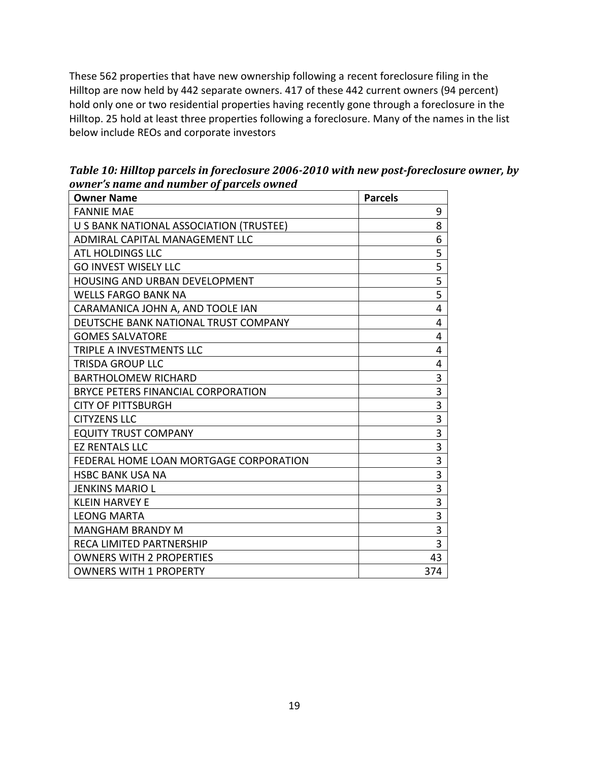These 562 properties that have new ownership following a recent foreclosure filing in the Hilltop are now held by 442 separate owners. 417 of these 442 current owners (94 percent) hold only one or two residential properties having recently gone through a foreclosure in the Hilltop. 25 hold at least three properties following a foreclosure. Many of the names in the list below include REOs and corporate investors

| <b>Owner Name</b>                       | <b>Parcels</b> |
|-----------------------------------------|----------------|
| <b>FANNIE MAE</b>                       | 9              |
| U S BANK NATIONAL ASSOCIATION (TRUSTEE) | 8              |
| ADMIRAL CAPITAL MANAGEMENT LLC          | 6              |
| <b>ATL HOLDINGS LLC</b>                 | 5              |
| <b>GO INVEST WISELY LLC</b>             | 5              |
| <b>HOUSING AND URBAN DEVELOPMENT</b>    | $\overline{5}$ |
| <b>WELLS FARGO BANK NA</b>              | 5              |
| CARAMANICA JOHN A, AND TOOLE IAN        | 4              |
| DEUTSCHE BANK NATIONAL TRUST COMPANY    | 4              |
| <b>GOMES SALVATORE</b>                  | 4              |
| TRIPLE A INVESTMENTS LLC                | 4              |
| <b>TRISDA GROUP LLC</b>                 | 4              |
| <b>BARTHOLOMEW RICHARD</b>              | 3              |
| BRYCE PETERS FINANCIAL CORPORATION      | 3              |
| <b>CITY OF PITTSBURGH</b>               | $\overline{3}$ |
| <b>CITYZENS LLC</b>                     | 3              |
| <b>EQUITY TRUST COMPANY</b>             | 3              |
| <b>EZ RENTALS LLC</b>                   | $\overline{3}$ |
| FEDERAL HOME LOAN MORTGAGE CORPORATION  | 3              |
| <b>HSBC BANK USA NA</b>                 | 3              |
| JENKINS MARIO L                         | $\overline{3}$ |
| <b>KLEIN HARVEY E</b>                   | 3              |
| <b>LEONG MARTA</b>                      | 3              |
| <b>MANGHAM BRANDY M</b>                 | $\overline{3}$ |
| <b>RECA LIMITED PARTNERSHIP</b>         | 3              |
| <b>OWNERS WITH 2 PROPERTIES</b>         | 43             |
| <b>OWNERS WITH 1 PROPERTY</b>           | 374            |

<span id="page-18-0"></span>*Table 10: Hilltop parcels in foreclosure 2006-2010 with new post-foreclosure owner, by owner's name and number of parcels owned*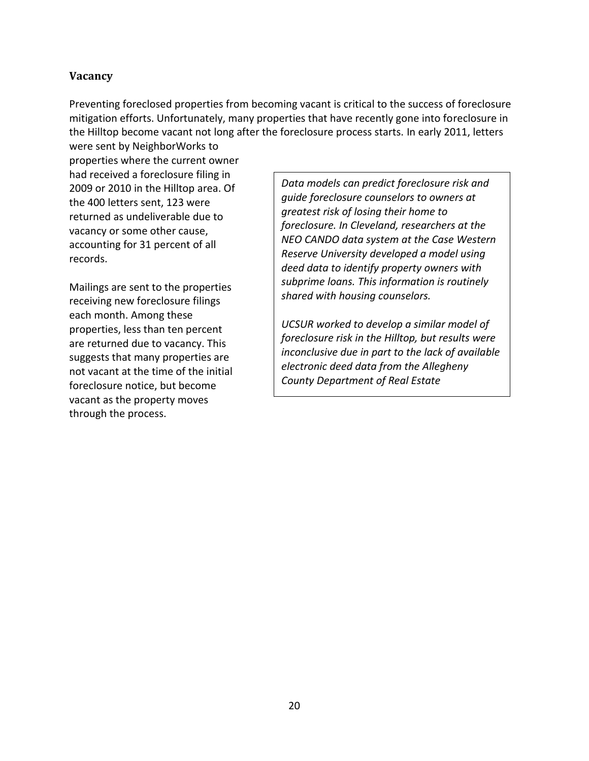#### <span id="page-19-0"></span>**Vacancy**

Preventing foreclosed properties from becoming vacant is critical to the success of foreclosure mitigation efforts. Unfortunately, many properties that have recently gone into foreclosure in the Hilltop become vacant not long after the foreclosure process starts. In early 2011, letters

were sent by NeighborWorks to properties where the current owner had received a foreclosure filing in 2009 or 2010 in the Hilltop area. Of the 400 letters sent, 123 were returned as undeliverable due to vacancy or some other cause, accounting for 31 percent of all records.

Mailings are sent to the properties receiving new foreclosure filings each month. Among these properties, less than ten percent are returned due to vacancy. This suggests that many properties are not vacant at the time of the initial foreclosure notice, but become vacant as the property moves through the process.

*Data models can predict foreclosure risk and guide foreclosure counselors to owners at greatest risk of losing their home to foreclosure. In Cleveland, researchers at the NEO CANDO data system at the Case Western Reserve University developed a model using deed data to identify property owners with subprime loans. This information is routinely shared with housing counselors.*

*UCSUR worked to develop a similar model of foreclosure risk in the Hilltop, but results were inconclusive due in part to the lack of available electronic deed data from the Allegheny County Department of Real Estate*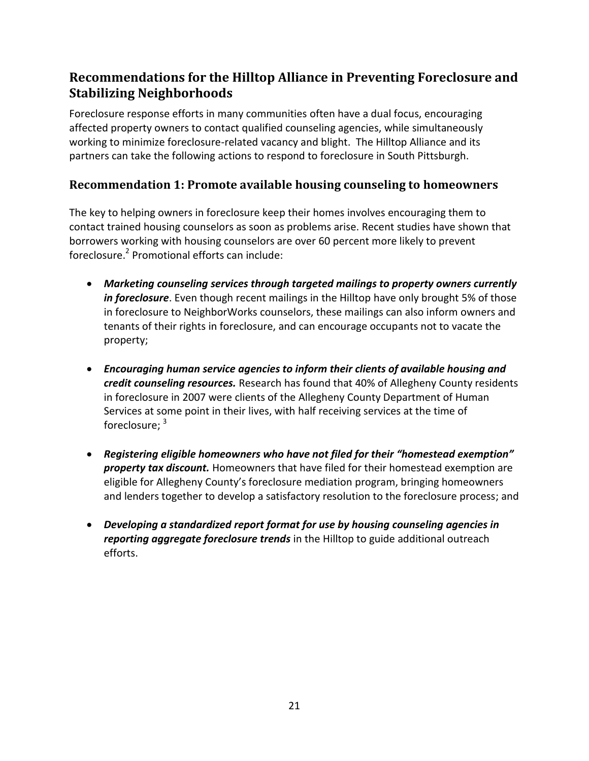# <span id="page-20-0"></span>**Recommendations for the Hilltop Alliance in Preventing Foreclosure and Stabilizing Neighborhoods**

Foreclosure response efforts in many communities often have a dual focus, encouraging affected property owners to contact qualified counseling agencies, while simultaneously working to minimize foreclosure-related vacancy and blight. The Hilltop Alliance and its partners can take the following actions to respond to foreclosure in South Pittsburgh.

### <span id="page-20-1"></span>**Recommendation 1: Promote available housing counseling to homeowners**

The key to helping owners in foreclosure keep their homes involves encouraging them to contact trained housing counselors as soon as problems arise. Recent studies have shown that borrowers working with housing counselors are over 60 percent more likely to prevent foreclosure.<sup>2</sup> Promotional efforts can include:

- *Marketing counseling services through targeted mailings to property owners currently in foreclosure*. Even though recent mailings in the Hilltop have only brought 5% of those in foreclosure to NeighborWorks counselors, these mailings can also inform owners and tenants of their rights in foreclosure, and can encourage occupants not to vacate the property;
- *Encouraging human service agencies to inform their clients of available housing and credit counseling resources.* Research has found that 40% of Allegheny County residents in foreclosure in 2007 were clients of the Allegheny County Department of Human Services at some point in their lives, with half receiving services at the time of foreclosure; <sup>3</sup>
- *Registering eligible homeowners who have not filed for their "homestead exemption" property tax discount.* Homeowners that have filed for their homestead exemption are eligible for Allegheny County's foreclosure mediation program, bringing homeowners and lenders together to develop a satisfactory resolution to the foreclosure process; and
- *Developing a standardized report format for use by housing counseling agencies in reporting aggregate foreclosure trends* in the Hilltop to guide additional outreach efforts.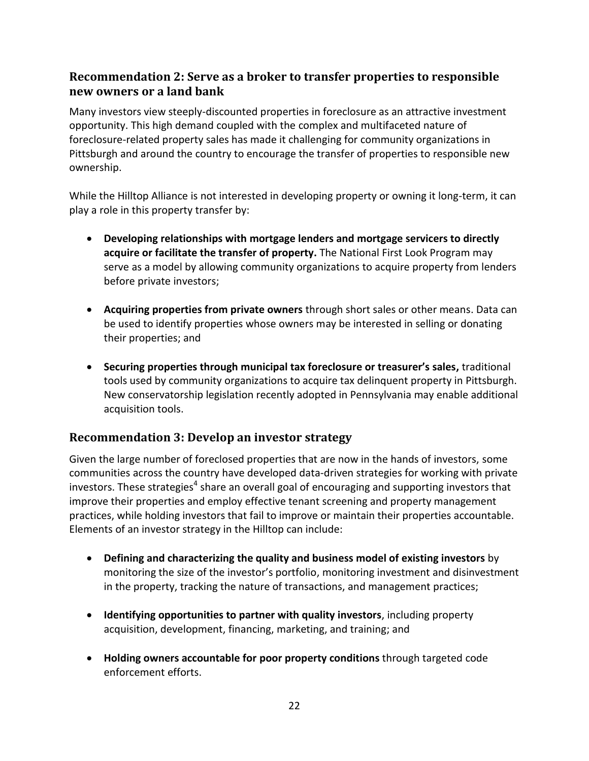## <span id="page-21-0"></span>**Recommendation 2: Serve as a broker to transfer properties to responsible new owners or a land bank**

Many investors view steeply-discounted properties in foreclosure as an attractive investment opportunity. This high demand coupled with the complex and multifaceted nature of foreclosure-related property sales has made it challenging for community organizations in Pittsburgh and around the country to encourage the transfer of properties to responsible new ownership.

While the Hilltop Alliance is not interested in developing property or owning it long-term, it can play a role in this property transfer by:

- **Developing relationships with mortgage lenders and mortgage servicers to directly acquire or facilitate the transfer of property.** The National First Look Program may serve as a model by allowing community organizations to acquire property from lenders before private investors;
- **Acquiring properties from private owners** through short sales or other means. Data can be used to identify properties whose owners may be interested in selling or donating their properties; and
- **Securing properties through municipal tax foreclosure or treasurer's sales,** traditional tools used by community organizations to acquire tax delinquent property in Pittsburgh. New conservatorship legislation recently adopted in Pennsylvania may enable additional acquisition tools.

## <span id="page-21-1"></span>**Recommendation 3: Develop an investor strategy**

Given the large number of foreclosed properties that are now in the hands of investors, some communities across the country have developed data-driven strategies for working with private investors. These strategies<sup>4</sup> share an overall goal of encouraging and supporting investors that improve their properties and employ effective tenant screening and property management practices, while holding investors that fail to improve or maintain their properties accountable. Elements of an investor strategy in the Hilltop can include:

- **Defining and characterizing the quality and business model of existing investors** by monitoring the size of the investor's portfolio, monitoring investment and disinvestment in the property, tracking the nature of transactions, and management practices;
- **Identifying opportunities to partner with quality investors**, including property acquisition, development, financing, marketing, and training; and
- **Holding owners accountable for poor property conditions** through targeted code enforcement efforts.